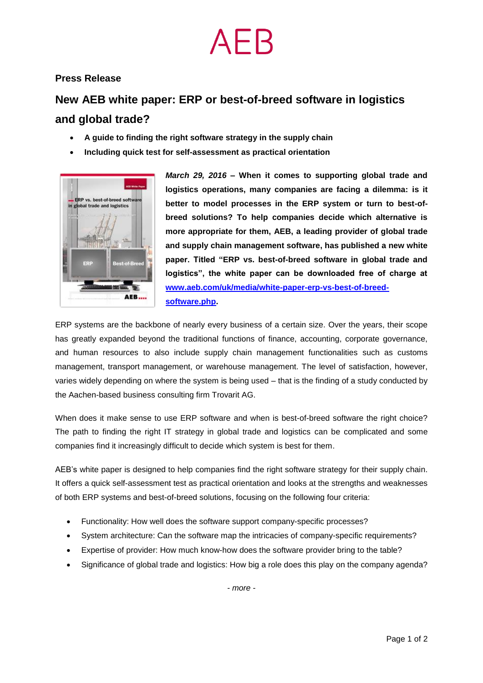### **Press Release**

## **New AEB white paper: ERP or best-of-breed software in logistics and global trade?**

- **A guide to finding the right software strategy in the supply chain**
- **Including quick test for self-assessment as practical orientation**



*March 29, 2016* **– When it comes to supporting global trade and logistics operations, many companies are facing a dilemma: is it better to model processes in the ERP system or turn to best-ofbreed solutions? To help companies decide which alternative is more appropriate for them, AEB, a leading provider of global trade and supply chain management software, has published a new white paper. Titled "ERP vs. best-of-breed software in global trade and logistics", the white paper can be downloaded free of charge at [www.aeb.com/uk/media/white-paper-erp-vs-best-of-breed](http://www.aeb.com/uk/media/white-paper-erp-vs-best-of-breed-software.php)[software.php.](http://www.aeb.com/uk/media/white-paper-erp-vs-best-of-breed-software.php)**

ERP systems are the backbone of nearly every business of a certain size. Over the years, their scope has greatly expanded beyond the traditional functions of finance, accounting, corporate governance, and human resources to also include supply chain management functionalities such as customs management, transport management, or warehouse management. The level of satisfaction, however, varies widely depending on where the system is being used – that is the finding of a study conducted by the Aachen-based business consulting firm Trovarit AG.

When does it make sense to use ERP software and when is best-of-breed software the right choice? The path to finding the right IT strategy in global trade and logistics can be complicated and some companies find it increasingly difficult to decide which system is best for them.

AEB's white paper is designed to help companies find the right software strategy for their supply chain. It offers a quick self-assessment test as practical orientation and looks at the strengths and weaknesses of both ERP systems and best-of-breed solutions, focusing on the following four criteria:

- Functionality: How well does the software support company-specific processes?
- System architecture: Can the software map the intricacies of company-specific requirements?
- Expertise of provider: How much know-how does the software provider bring to the table?
- Significance of global trade and logistics: How big a role does this play on the company agenda?

*- more -*